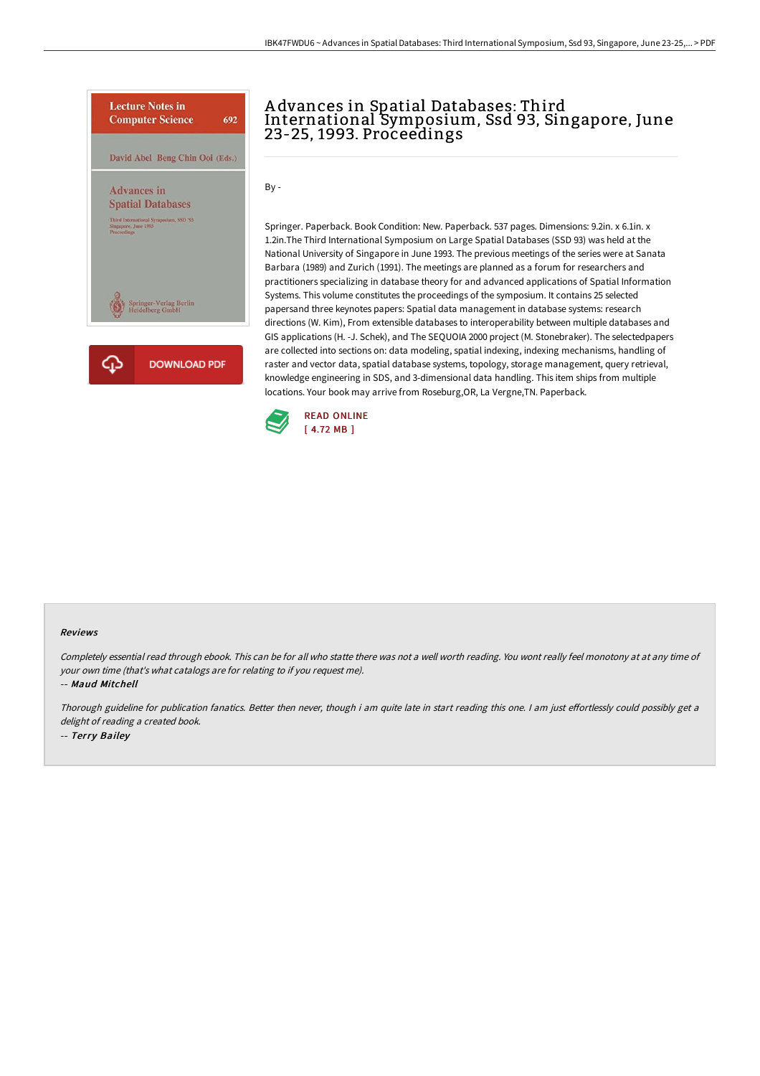

## A dvances in Spatial Databases: Third International Symposium, Ssd 93, Singapore, June 23-25, 1993. Proceedings

By -

Springer. Paperback. Book Condition: New. Paperback. 537 pages. Dimensions: 9.2in. x 6.1in. x 1.2in.The Third International Symposium on Large Spatial Databases (SSD 93) was held at the National University of Singapore in June 1993. The previous meetings of the series were at Sanata Barbara (1989) and Zurich (1991). The meetings are planned as a forum for researchers and practitioners specializing in database theory for and advanced applications of Spatial Information Systems. This volume constitutes the proceedings of the symposium. It contains 25 selected papersand three keynotes papers: Spatial data management in database systems: research directions (W. Kim), From extensible databases to interoperability between multiple databases and GIS applications (H. -J. Schek), and The SEQUOIA 2000 project (M. Stonebraker). The selectedpapers are collected into sections on: data modeling, spatial indexing, indexing mechanisms, handling of raster and vector data, spatial database systems, topology, storage management, query retrieval, knowledge engineering in SDS, and 3-dimensional data handling. This item ships from multiple locations. Your book may arrive from Roseburg,OR, La Vergne,TN. Paperback.



## Reviews

Completely essential read through ebook. This can be for all who statte there was not <sup>a</sup> well worth reading. You wont really feel monotony at at any time of your own time (that's what catalogs are for relating to if you request me).

-- Maud Mitchell

Thorough guideline for publication fanatics. Better then never, though i am quite late in start reading this one. I am just effortlessly could possibly get a delight of reading <sup>a</sup> created book. -- Terry Bailey